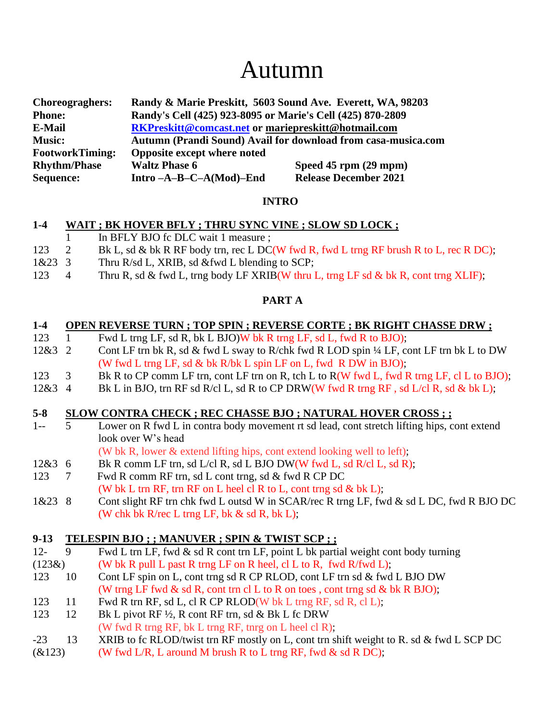# Autumn

| <b>Choreograghers:</b> | Randy & Marie Preskitt, 5603 Sound Ave. Everett, WA, 98203    |                              |
|------------------------|---------------------------------------------------------------|------------------------------|
| <b>Phone:</b>          | Randy's Cell (425) 923-8095 or Marie's Cell (425) 870-2809    |                              |
| <b>E-Mail</b>          | RKPreskitt@comcast.net or mariepreskitt@hotmail.com           |                              |
| <b>Music:</b>          | Autumn (Prandi Sound) Avail for download from casa-musica.com |                              |
| <b>FootworkTiming:</b> | Opposite except where noted                                   |                              |
| <b>Rhythm/Phase</b>    | <b>Waltz Phase 6</b>                                          | Speed 45 rpm (29 mpm)        |
| Sequence:              | Intro-A-B-C-A(Mod)-End                                        | <b>Release December 2021</b> |

#### **INTRO**

#### **1-4 WAIT ; BK HOVER BFLY ; THRU SYNC VINE ; SLOW SD LOCK ;**

- 1 In BFLY BJO fc DLC wait 1 measure ;
- 123 2 Bk L, sd & bk R RF body trn, rec L DC(W fwd R, fwd L trng RF brush R to L, rec R DC);
- 1&23 3 Thru R/sd L, XRIB, sd &fwd L blending to SCP;
- 123 4 Thru R, sd & fwd L, trng body LF XRIB(W thru L, trng LF sd & bk R, cont trng XLIF);

#### **PART A**

#### **1-4 OPEN REVERSE TURN ; TOP SPIN ; REVERSE CORTE ; BK RIGHT CHASSE DRW ;**

- 123 1 Fwd L trng LF, sd R, bk L BJO)W bk R trng LF, sd L, fwd R to BJO);
- 12&3 2 Cont LF trn bk R, sd & fwd L sway to R/chk fwd R LOD spin <sup>1/4</sup> LF, cont LF trn bk L to DW (W fwd L trng LF, sd & bk R/bk L spin LF on L, fwd R DW in BJO);
- 123 3 Bk R to CP comm LF trn, cont LF trn on R, tch L to R(W fwd L, fwd R trng LF, cl L to BJO);
- 12&3 4 Bk L in BJO, trn RF sd R/cl L, sd R to CP DRW(W fwd R trng RF, sd L/cl R, sd & bk L);

#### **5-8 SLOW CONTRA CHECK ; REC CHASSE BJO ; NATURAL HOVER CROSS ; ;**

- 1-- 5 Lower on R fwd L in contra body movement rt sd lead, cont stretch lifting hips, cont extend look over W's head
	- (W bk R, lower & extend lifting hips, cont extend looking well to left);
- 12&3 6 Bk R comm LF trn, sd L/cl R, sd L BJO DW(W fwd L, sd R/cl L, sd R);
- 123 7 Fwd R comm RF trn, sd L cont trng, sd & fwd R CP DC (W bk L trn RF, trn RF on L heel cl R to L, cont trng sd  $\&$  bk L);
- 1&23 8 Cont slight RF trn chk fwd L outsd W in SCAR/rec R trng LF, fwd & sd L DC, fwd R BJO DC (W chk bk  $R$ /rec L trng LF, bk  $\&$  sd  $R$ , bk L);

## **9-13 TELESPIN BJO ; ; MANUVER ; SPIN & TWIST SCP ; ;**

- 12- 9 Fwd L trn LF, fwd & sd R cont trn LF, point L bk partial weight cont body turning
- $(123\&)$  (W bk R pull L past R trng LF on R heel, cl L to R, fwd R/fwd L);
- 123 10 Cont LF spin on L, cont trng sd R CP RLOD, cont LF trn sd & fwd L BJO DW (W trng LF fwd  $\&$  sd R, cont trn cl L to R on toes, cont trng sd  $\&$  bk R BJO);
- 123 11 Fwd R trn RF, sd L, cl R CP RLOD(W bk L trng RF, sd R, cl L);
- 123 12 Bk L pivot RF ½, R cont RF trn, sd & Bk L fc DRW (W fwd R trng RF, bk L trng RF, tnrg on L heel cl R);
- -23 13 XRIB to fc RLOD/twist trn RF mostly on L, cont trn shift weight to R. sd & fwd L SCP DC
- $(k123)$  (W fwd L/R, L around M brush R to L trng RF, fwd & sd R DC);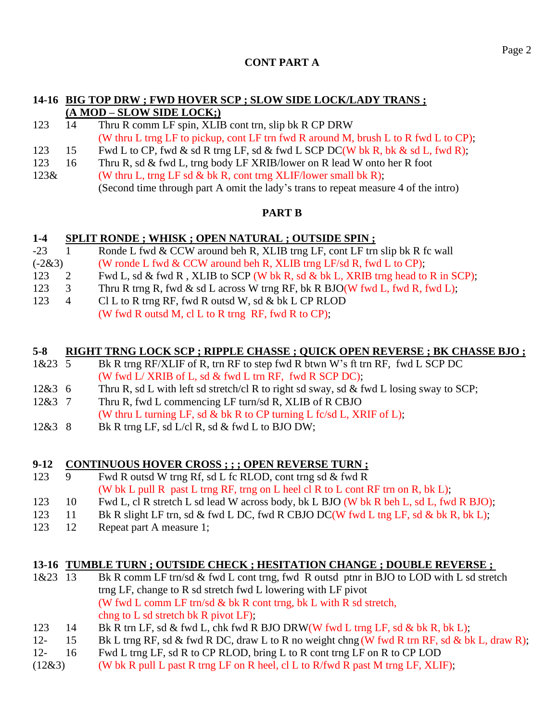## **CONT PART A**

#### **14-16 BIG TOP DRW ; FWD HOVER SCP ; SLOW SIDE LOCK/LADY TRANS ; (A MOD – SLOW SIDE LOCK;)**

- 123 14 Thru R comm LF spin, XLIB cont trn, slip bk R CP DRW (W thru L trng LF to pickup, cont LF trn fwd R around M, brush L to R fwd L to CP);
- 123 15 Fwd L to CP, fwd & sd R trng LF, sd & fwd L SCP DC(W bk R, bk & sd L, fwd R);
- 123 16 Thru R, sd & fwd L, trng body LF XRIB/lower on R lead W onto her R foot
- 123 $\&$  (W thru L, trng LF sd  $\&$  bk R, cont trng XLIF/lower small bk R); (Second time through part A omit the lady's trans to repeat measure 4 of the intro)

## **PART B**

#### **1-4 SPLIT RONDE ; WHISK ; OPEN NATURAL ; OUTSIDE SPIN ;**

- -23 1 Ronde L fwd & CCW around beh R, XLIB trng LF, cont LF trn slip bk R fc wall
- $(-2\&3)$  (W ronde L fwd  $\&$  CCW around beh R, XLIB trng LF/sd R, fwd L to CP);
- 123 2 Fwd L, sd & fwd R, XLIB to SCP (W bk R, sd & bk L, XRIB trng head to R in SCP);
- 123 3 Thru R trng R, fwd & sd L across W trng RF, bk R BJO(W fwd L, fwd R, fwd L);
- 123 4 Cl L to R trng RF, fwd R outsd W, sd & bk L CP RLOD (W fwd R outsd M, cl L to R trng RF, fwd R to CP);

#### **5-8 RIGHT TRNG LOCK SCP ; RIPPLE CHASSE ; QUICK OPEN REVERSE ; BK CHASSE BJO ;**

- 1&23 5 Bk R trng RF/XLIF of R, trn RF to step fwd R btwn W's ft trn RF, fwd L SCP DC (W fwd  $L/$  XRIB of L, sd  $&$  fwd L trn RF, fwd R SCP DC);
- 12&3 6 Thru R, sd L with left sd stretch/cl R to right sd sway, sd & fwd L losing sway to SCP;
- 12&3 7 Thru R, fwd L commencing LF turn/sd R, XLIB of R CBJO (W thru L turning LF, sd  $\&$  bk R to CP turning L fc/sd L, XRIF of L);
- 12&3 8 Bk R trng LF, sd L/cl R, sd & fwd L to BJO DW;

## **9-12 CONTINUOUS HOVER CROSS ; ; ; OPEN REVERSE TURN ;**

- 123 9 Fwd R outsd W trng Rf, sd L fc RLOD, cont trng sd & fwd R (W bk L pull R past L trng RF, trng on L heel cl R to L cont RF trn on R, bk L);
- 123 10 Fwd L, cl R stretch L sd lead W across body, bk L BJO (W bk R beh L, sd L, fwd R BJO);
- 123 11 Bk R slight LF trn, sd & fwd L DC, fwd R CBJO DC(W fwd L tng LF, sd & bk R, bk L);
- 123 12 Repeat part A measure 1;

## **13-16 TUMBLE TURN ; OUTSIDE CHECK ; HESITATION CHANGE ; DOUBLE REVERSE ;**

- 1&23 13 Bk R comm LF trn/sd & fwd L cont trng, fwd R outsd ptnr in BJO to LOD with L sd stretch trng LF, change to R sd stretch fwd L lowering with LF pivot (W fwd L comm LF trn/sd  $\&$  bk R cont trng, bk L with R sd stretch, chng to L sd stretch bk R pivot LF);
- 123 14 Bk R trn LF, sd & fwd L, chk fwd R BJO DRW(W fwd L trng LF, sd & bk R, bk L);
- 12- 15 Bk L trng RF, sd & fwd R DC, draw L to R no weight chng (W fwd R trn RF, sd & bk L, draw R);
- 12- 16 Fwd L trng LF, sd R to CP RLOD, bring L to R cont trng LF on R to CP LOD
- (12&3) (W bk R pull L past R trng LF on R heel, cl L to R/fwd R past M trng LF, XLIF);